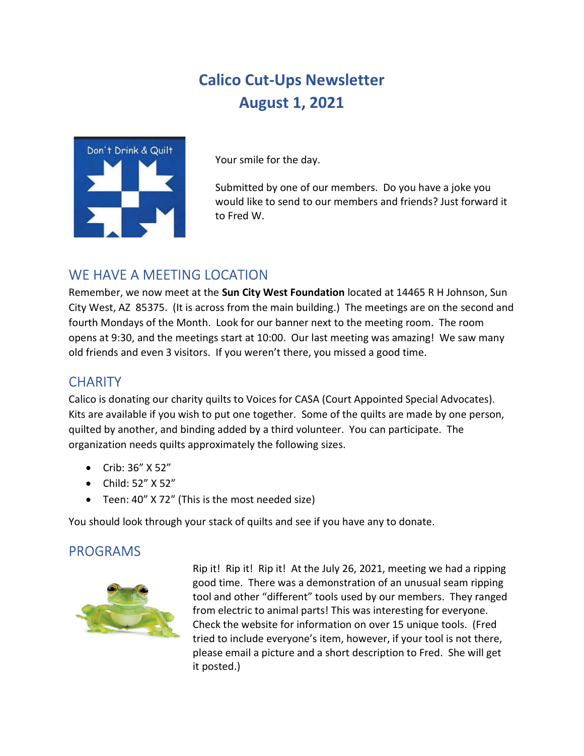# Calico Cut-Ups Newsletter August 1, 2021



Your smile for the day.

Submitted by one of our members. Do you have a joke you would like to send to our members and friends? Just forward it to Fred W.

# WE HAVE A MEETING LOCATION

Remember, we now meet at the Sun City West Foundation located at 14465 R H Johnson, Sun City West, AZ 85375. (It is across from the main building.) The meetings are on the second and fourth Mondays of the Month. Look for our banner next to the meeting room. The room opens at 9:30, and the meetings start at 10:00. Our last meeting was amazing! We saw many old friends and even 3 visitors. If you weren't there, you missed a good time.

# **CHARITY**

Calico is donating our charity quilts to Voices for CASA (Court Appointed Special Advocates). Kits are available if you wish to put one together. Some of the quilts are made by one person, quilted by another, and binding added by a third volunteer. You can participate. The organization needs quilts approximately the following sizes.

- Crib: 36" X 52"
- Child: 52" X 52"
- Teen: 40" X 72" (This is the most needed size)

You should look through your stack of quilts and see if you have any to donate.

# PROGRAMS



Rip it! Rip it! Rip it! At the July 26, 2021, meeting we had a ripping good time. There was a demonstration of an unusual seam ripping tool and other "different" tools used by our members. They ranged from electric to animal parts! This was interesting for everyone. Check the website for information on over 15 unique tools. (Fred tried to include everyone's item, however, if your tool is not there, please email a picture and a short description to Fred. She will get it posted.)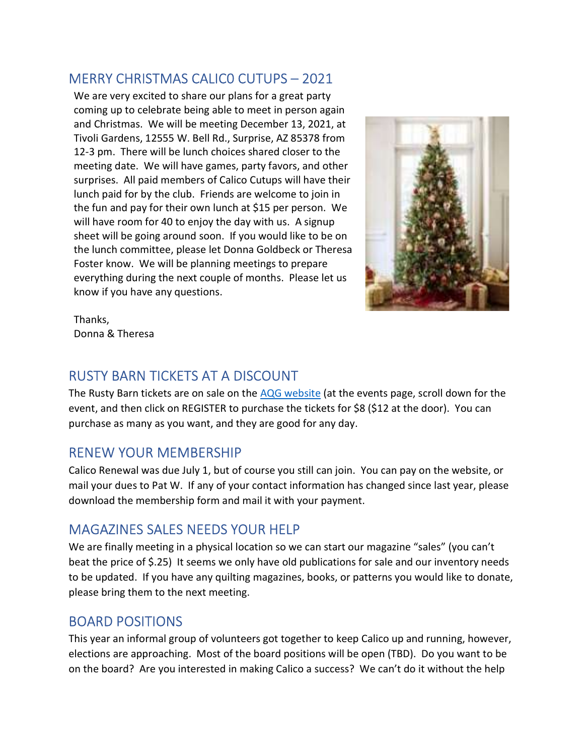#### MERRY CHRISTMAS CALIC0 CUTUPS – 2021

We are very excited to share our plans for a great party coming up to celebrate being able to meet in person again and Christmas. We will be meeting December 13, 2021, at Tivoli Gardens, 12555 W. Bell Rd., Surprise, AZ 85378 from 12-3 pm. There will be lunch choices shared closer to the meeting date. We will have games, party favors, and other surprises. All paid members of Calico Cutups will have their lunch paid for by the club. Friends are welcome to join in the fun and pay for their own lunch at \$15 per person. We will have room for 40 to enjoy the day with us. A signup sheet will be going around soon. If you would like to be on the lunch committee, please let Donna Goldbeck or Theresa Foster know. We will be planning meetings to prepare everything during the next couple of months. Please let us know if you have any questions.



Thanks, Donna & Theresa

### RUSTY BARN TICKETS AT A DISCOUNT

The Rusty Barn tickets are on sale on the AQG website (at the events page, scroll down for the event, and then click on REGISTER to purchase the tickets for \$8 (\$12 at the door). You can purchase as many as you want, and they are good for any day.

# RENEW YOUR MEMBERSHIP

Calico Renewal was due July 1, but of course you still can join. You can pay on the website, or mail your dues to Pat W. If any of your contact information has changed since last year, please download the membership form and mail it with your payment.

# MAGAZINES SALES NEEDS YOUR HELP

We are finally meeting in a physical location so we can start our magazine "sales" (you can't beat the price of \$.25) It seems we only have old publications for sale and our inventory needs to be updated. If you have any quilting magazines, books, or patterns you would like to donate, please bring them to the next meeting.

#### BOARD POSITIONS

This year an informal group of volunteers got together to keep Calico up and running, however, elections are approaching. Most of the board positions will be open (TBD). Do you want to be on the board? Are you interested in making Calico a success? We can't do it without the help